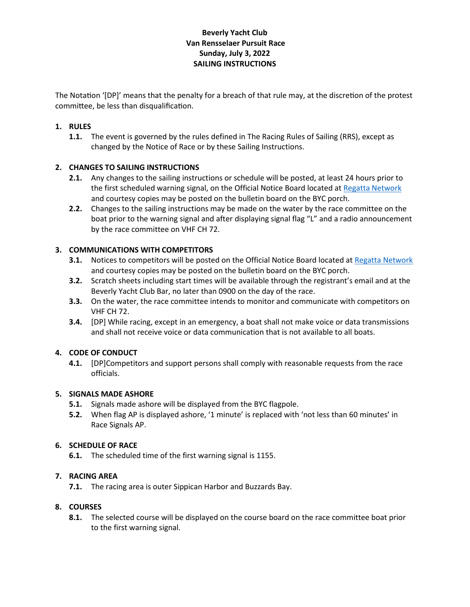# **Beverly Yacht Club Van Rensselaer Pursuit Race Sunday, July 3, 2022 SAILING INSTRUCTIONS**

The Notation '[DP]' means that the penalty for a breach of that rule may, at the discretion of the protest committee, be less than disqualification.

## **1. RULES**

**1.1.** The event is governed by the rules defined in The Racing Rules of Sailing (RRS), except as changed by the Notice of Race or by these Sailing Instructions.

## **2. CHANGES TO SAILING INSTRUCTIONS**

- **2.1.** Any changes to the sailing instructions or schedule will be posted, at least 24 hours prior to the first scheduled warning signal, on the Official Notice Board located a[t Regatta Network](https://www.regattanetwork.com/event/24396) and courtesy copies may be posted on the bulletin board on the BYC porch.
- **2.2.** Changes to the sailing instructions may be made on the water by the race committee on the boat prior to the warning signal and after displaying signal flag "L" and a radio announcement by the race committee on VHF CH 72.

## **3. COMMUNICATIONS WITH COMPETITORS**

- **3.1.** Notices to competitors will be posted on the Official Notice Board located at Regatta Network and courtesy copies may be posted on the bulletin board on the BYC porch.
- **3.2.** Scratch sheets including start times will be available through the registrant's email and at the Beverly Yacht Club Bar, no later than 0900 on the day of the race.
- **3.3.** On the water, the race committee intends to monitor and communicate with competitors on VHF CH 72.
- **3.4.** [DP] While racing, except in an emergency, a boat shall not make voice or data transmissions and shall not receive voice or data communication that is not available to all boats.

## **4. CODE OF CONDUCT**

**4.1.** [DP]Competitors and support persons shall comply with reasonable requests from the race officials.

#### **5. SIGNALS MADE ASHORE**

- **5.1.** Signals made ashore will be displayed from the BYC flagpole.
- **5.2.** When flag AP is displayed ashore, '1 minute' is replaced with 'not less than 60 minutes' in Race Signals AP.

#### **6. SCHEDULE OF RACE**

**6.1.** The scheduled time of the first warning signal is 1155.

## **7. RACING AREA**

**7.1.** The racing area is outer Sippican Harbor and Buzzards Bay.

#### **8. COURSES**

**8.1.** The selected course will be displayed on the course board on the race committee boat prior to the first warning signal.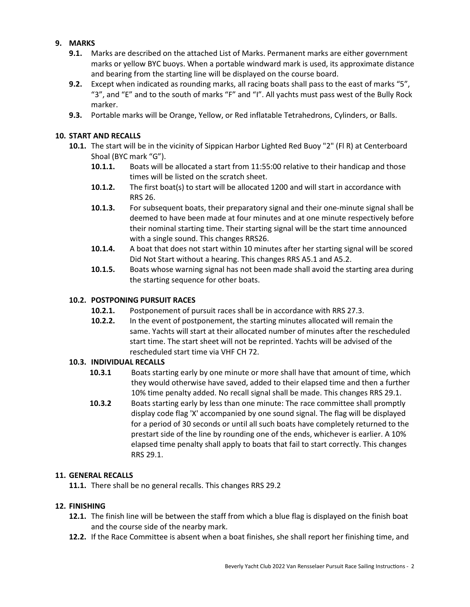## **9. MARKS**

- **9.1.** Marks are described on the attached List of Marks. Permanent marks are either government marks or yellow BYC buoys. When a portable windward mark is used, its approximate distance and bearing from the starting line will be displayed on the course board.
- **9.2.** Except when indicated as rounding marks, all racing boats shall pass to the east of marks "5", "3", and "E" and to the south of marks "F" and "I". All yachts must pass west of the Bully Rock marker.
- **9.3.** Portable marks will be Orange, Yellow, or Red inflatable Tetrahedrons, Cylinders, or Balls.

## **10. START AND RECALLS**

- **10.1.** The start will be in the vicinity of Sippican Harbor Lighted Red Buoy "2" (Fl R) at Centerboard Shoal (BYC mark "G").
	- **10.1.1.** Boats will be allocated a start from 11:55:00 relative to their handicap and those times will be listed on the scratch sheet.
	- **10.1.2.** The first boat(s) to start will be allocated 1200 and will start in accordance with RRS 26.
	- **10.1.3.** For subsequent boats, their preparatory signal and their one-minute signal shall be deemed to have been made at four minutes and at one minute respectively before their nominal starting time. Their starting signal will be the start time announced with a single sound. This changes RRS26.
	- **10.1.4.** A boat that does not start within 10 minutes after her starting signal will be scored Did Not Start without a hearing. This changes RRS A5.1 and A5.2.
	- **10.1.5.** Boats whose warning signal has not been made shall avoid the starting area during the starting sequence for other boats.

### **10.2. POSTPONING PURSUIT RACES**

- **10.2.1.** Postponement of pursuit races shall be in accordance with RRS 27.3.
- **10.2.2.** In the event of postponement, the starting minutes allocated will remain the same. Yachts will start at their allocated number of minutes after the rescheduled start time. The start sheet will not be reprinted. Yachts will be advised of the rescheduled start time via VHF CH 72.

#### **10.3. INDIVIDUAL RECALLS**

- **10.3.1** Boats starting early by one minute or more shall have that amount of time, which they would otherwise have saved, added to their elapsed time and then a further 10% time penalty added. No recall signal shall be made. This changes RRS 29.1.
- **10.3.2** Boats starting early by less than one minute: The race committee shall promptly display code flag 'X' accompanied by one sound signal. The flag will be displayed for a period of 30 seconds or until all such boats have completely returned to the prestart side of the line by rounding one of the ends, whichever is earlier. A 10% elapsed time penalty shall apply to boats that fail to start correctly. This changes RRS 29.1.

#### **11. GENERAL RECALLS**

**11.1.** There shall be no general recalls. This changes RRS 29.2

#### **12. FINISHING**

- **12.1.** The finish line will be between the staff from which a blue flag is displayed on the finish boat and the course side of the nearby mark.
- **12.2.** If the Race Committee is absent when a boat finishes, she shall report her finishing time, and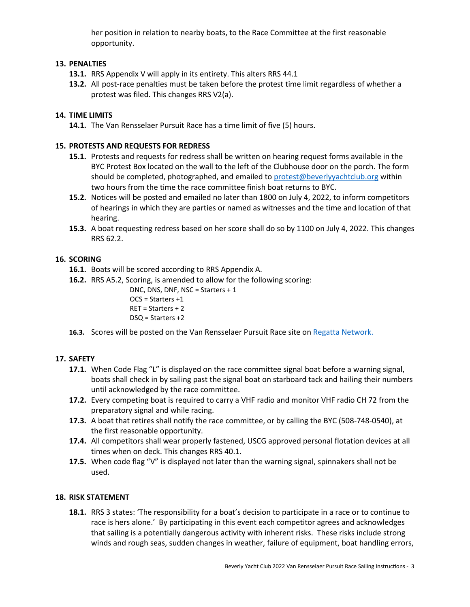her position in relation to nearby boats, to the Race Committee at the first reasonable opportunity.

## **13. PENALTIES**

- **13.1.** RRS Appendix V will apply in its entirety. This alters RRS 44.1
- **13.2.** All post-race penalties must be taken before the protest time limit regardless of whether a protest was filed. This changes RRS V2(a).

## **14. TIME LIMITS**

**14.1.** The Van Rensselaer Pursuit Race has a time limit of five (5) hours.

## **15. PROTESTS AND REQUESTS FOR REDRESS**

- **15.1.** Protests and requests for redress shall be written on hearing request forms available in the BYC Protest Box located on the wall to the left of the Clubhouse door on the porch. The form should be completed, photographed, and emailed to [protest@beverlyyachtclub.org](mailto:protest@beverlyyachtclub.org) within two hours from the time the race committee finish boat returns to BYC.
- **15.2.** Notices will be posted and emailed no later than 1800 on July 4, 2022, to inform competitors of hearings in which they are parties or named as witnesses and the time and location of that hearing.
- **15.3.** A boat requesting redress based on her score shall do so by 1100 on July 4, 2022. This changes RRS 62.2.

## **16. SCORING**

- **16.1.** Boats will be scored according to RRS Appendix A.
- **16.2.** RRS A5.2, Scoring, is amended to allow for the following scoring:

DNC, DNS, DNF, NSC = Starters + 1 OCS = Starters +1 RET = Starters + 2 DSQ = Starters +2

16.3. Scores will be posted on the Van Rensselaer Pursuit Race site on [Regatta Network.](https://www.regattanetwork.com/event/24396)

#### **17. SAFETY**

- **17.1.** When Code Flag "L" is displayed on the race committee signal boat before a warning signal, boats shall check in by sailing past the signal boat on starboard tack and hailing their numbers until acknowledged by the race committee.
- **17.2.** Every competing boat is required to carry a VHF radio and monitor VHF radio CH 72 from the preparatory signal and while racing.
- **17.3.** A boat that retires shall notify the race committee, or by calling the BYC (508-748-0540), at the first reasonable opportunity.
- **17.4.** All competitors shall wear properly fastened, USCG approved personal flotation devices at all times when on deck. This changes RRS 40.1.
- **17.5.** When code flag "V" is displayed not later than the warning signal, spinnakers shall not be used.

#### **18. RISK STATEMENT**

**18.1.** RRS 3 states: 'The responsibility for a boat's decision to participate in a race or to continue to race is hers alone.' By participating in this event each competitor agrees and acknowledges that sailing is a potentially dangerous activity with inherent risks. These risks include strong winds and rough seas, sudden changes in weather, failure of equipment, boat handling errors,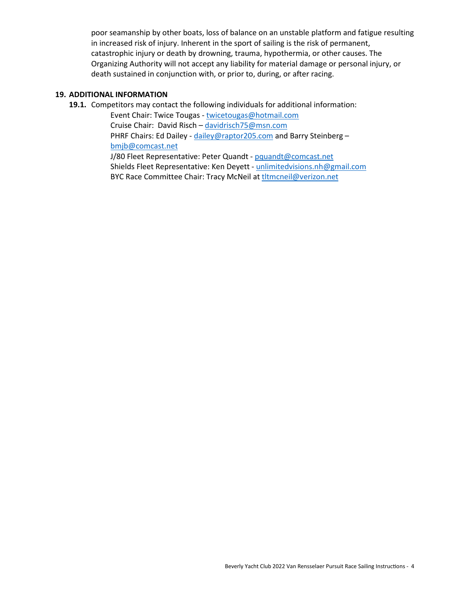poor seamanship by other boats, loss of balance on an unstable platform and fatigue resulting in increased risk of injury. Inherent in the sport of sailing is the risk of permanent, catastrophic injury or death by drowning, trauma, hypothermia, or other causes. The Organizing Authority will not accept any liability for material damage or personal injury, or death sustained in conjunction with, or prior to, during, or after racing.

#### **19. ADDITIONAL INFORMATION**

**19.1.** Competitors may contact the following individuals for additional information:

Event Chair: Twice Tougas - [twicetougas@hotmail.com](mailto:twicetougas@hotmail.com) Cruise Chair: David Risch – [davidrisch75@msn.com](mailto:davidrisch75@msn.com) PHRF Chairs: Ed Dailey - [dailey@raptor205.com](mailto:dailey@raptor205.com) and Barry Steinberg [bmjb@comcast.net](mailto:bmjb@comcast.net) J/80 Fleet Representative: Peter Quandt - [pquandt@comcast.net](mailto:pquandt@comcast.net)

Shields Fleet Representative: Ken Deyett - [unlimitedvisions.nh@gmail.com](mailto:unlimitedvisions.nh@gmail.com) BYC Race Committee Chair: Tracy McNeil at the theoreil@verizon.net